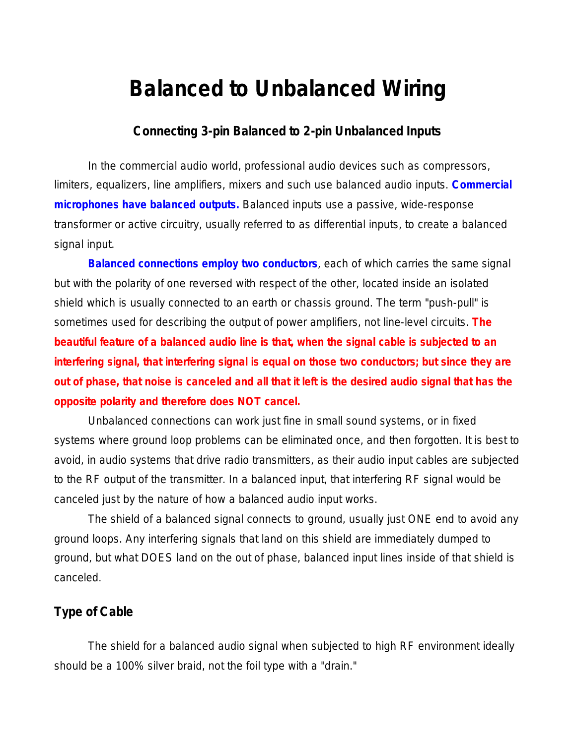# **Balanced to Unbalanced Wiring**

## **Connecting 3-pin Balanced to 2-pin Unbalanced Inputs**

In the commercial audio world, professional audio devices such as compressors, limiters, equalizers, line amplifiers, mixers and such use balanced audio inputs. **Commercial microphones have balanced outputs.** Balanced inputs use a passive, wide-response transformer or active circuitry, usually referred to as differential inputs, to create a balanced signal input.

**Balanced connections employ two conductors**, each of which carries the same signal but with the polarity of one reversed with respect of the other, located inside an isolated shield which is usually connected to an earth or chassis ground. The term "push-pull" is sometimes used for describing the output of power amplifiers, not line-level circuits. **The beautiful feature of a balanced audio line is that, when the signal cable is subjected to an interfering signal, that interfering signal is equal on those two conductors; but since they are out of phase, that noise is canceled and all that it left is the desired audio signal that has the opposite polarity and therefore does NOT cancel.**

Unbalanced connections can work just fine in small sound systems, or in fixed systems where ground loop problems can be eliminated once, and then forgotten. It is best to avoid, in audio systems that drive radio transmitters, as their audio input cables are subjected to the RF output of the transmitter. In a balanced input, that interfering RF signal would be canceled just by the nature of how a balanced audio input works.

The shield of a balanced signal connects to ground, usually just ONE end to avoid any ground loops. Any interfering signals that land on this shield are immediately dumped to ground, but what DOES land on the out of phase, balanced input lines inside of that shield is canceled.

#### **Type of Cable**

The shield for a balanced audio signal when subjected to high RF environment ideally should be a 100% silver braid, not the foil type with a "drain."